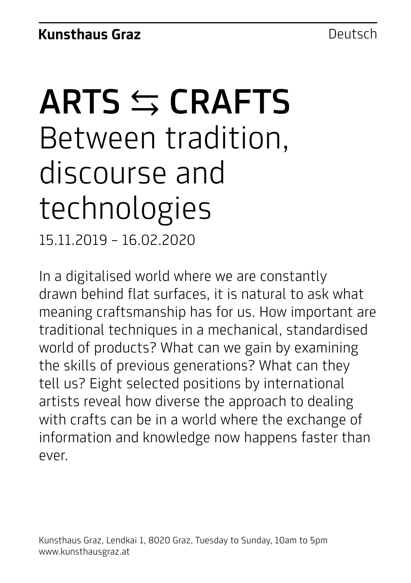# ARTS  $\leq$  CRAFTS Between tradition, discourse and technologies

15.11.2019 – 16.02.2020

In a digitalised world where we are constantly drawn behind flat surfaces, it is natural to ask what meaning craftsmanship has for us. How important are traditional techniques in a mechanical, standardised world of products? What can we gain by examining the skills of previous generations? What can they tell us? Eight selected positions by international artists reveal how diverse the approach to dealing with crafts can be in a world where the exchange of information and knowledge now happens faster than ever.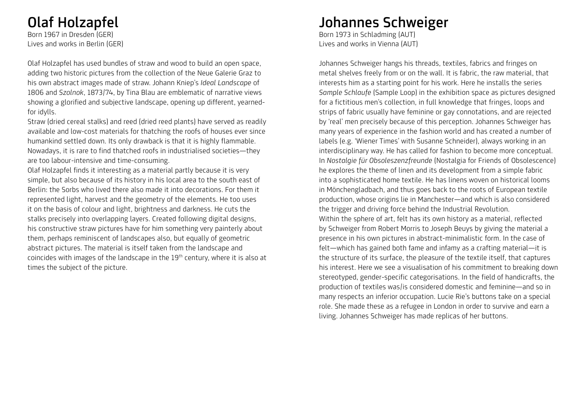### Olaf Holzapfel

Born 1967 in Dresden (GER) Lives and works in Berlin (GER)

Olaf Holzapfel has used bundles of straw and wood to build an open space, adding two historic pictures from the collection of the Neue Galerie Graz to his own abstract images made of straw. Johann Kniep's *Ideal Landscape* of 1806 and *Szolnok*, 1873/74, by Tina Blau are emblematic of narrative views showing a glorified and subjective landscape, opening up different, yearnedfor idylls.

Straw (dried cereal stalks) and reed (dried reed plants) have served as readily available and low-cost materials for thatching the roofs of houses ever since humankind settled down. Its only drawback is that it is highly flammable. Nowadays, it is rare to find thatched roofs in industrialised societies—they are too labour-intensive and time-consuming.

Olaf Holzapfel finds it interesting as a material partly because it is very simple, but also because of its history in his local area to the south east of Berlin: the Sorbs who lived there also made it into decorations. For them it represented light, harvest and the geometry of the elements. He too uses it on the basis of colour and light, brightness and darkness. He cuts the stalks precisely into overlapping layers. Created following digital designs, his constructive straw pictures have for him something very painterly about them, perhaps reminiscent of landscapes also, but equally of geometric abstract pictures. The material is itself taken from the landscape and coincides with images of the landscape in the 19th century, where it is also at times the subject of the picture.

#### Johannes Schweiger

Born 1973 in Schladming (AUT) Lives and works in Vienna (AUT)

Johannes Schweiger hangs his threads, textiles, fabrics and fringes on metal shelves freely from or on the wall. It is fabric, the raw material, that interests him as a starting point for his work. Here he installs the series *Sample Schlaufe* (Sample Loop) in the exhibition space as pictures designed for a fictitious men's collection, in full knowledge that fringes, loops and strips of fabric usually have feminine or gay connotations, and are rejected by 'real' men precisely because of this perception. Johannes Schweiger has many years of experience in the fashion world and has created a number of labels (e.g. 'Wiener Times' with Susanne Schneider), always working in an interdisciplinary way. He has called for fashion to become more conceptual. In *Nostalgie für Obsoleszenzfreunde* (Nostalgia for Friends of Obsolescence) he explores the theme of linen and its development from a simple fabric into a sophisticated home textile. He has linens woven on historical looms in Mönchengladbach, and thus goes back to the roots of European textile production, whose origins lie in Manchester—and which is also considered the trigger and driving force behind the Industrial Revolution. Within the sphere of art, felt has its own history as a material, reflected by Schweiger from Robert Morris to Joseph Beuys by giving the material a presence in his own pictures in abstract-minimalistic form. In the case of felt—which has gained both fame and infamy as a crafting material—it is the structure of its surface, the pleasure of the textile itself, that captures his interest. Here we see a visualisation of his commitment to breaking down stereotyped, gender-specific categorisations. In the field of handicrafts, the production of textiles was/is considered domestic and feminine—and so in many respects an inferior occupation. Lucie Rie's buttons take on a special role. She made these as a refugee in London in order to survive and earn a living. Johannes Schweiger has made replicas of her buttons.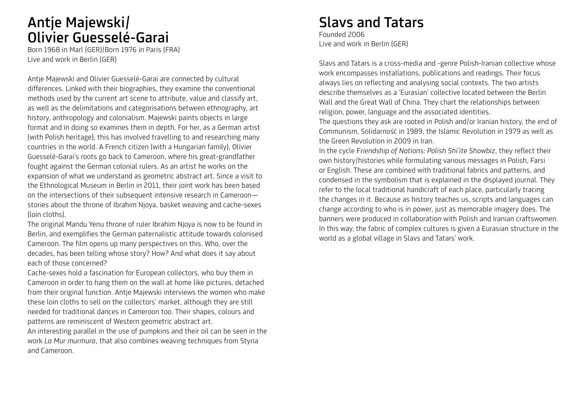### Antje Majewski/ Olivier Guesselé-Garai

Born 1968 in Marl (GER)/Born 1976 in Paris (FRA) Live and work in Berlin (GER)

Antje Majewski and Olivier Guesselé-Garai are connected by cultural differences. Linked with their biographies, they examine the conventional methods used by the current art scene to attribute, value and classify art, as well as the delimitations and categorisations between ethnography, art history, anthropology and colonialism. Majewski paints objects in large format and in doing so examines them in depth. For her, as a German artist (with Polish heritage), this has involved travelling to and researching many countries in the world. A French citizen (with a Hungarian family), Olivier Guesselé-Garai's roots go back to Cameroon, where his great-grandfather fought against the German colonial rulers. As an artist he works on the expansion of what we understand as geometric abstract art. Since a visit to the Ethnological Museum in Berlin in 2011, their joint work has been based on the intersections of their subsequent intensive research in Cameroon stories about the throne of Ibrahim Njoya, basket weaving and cache-sexes (loin cloths).

The original Mandu Yenu throne of ruler Ibrahim Njoya is now to be found in Berlin, and exemplifies the German paternalistic attitude towards colonised Cameroon. The film opens up many perspectives on this. Who, over the decades, has been telling whose story? How? And what does it say about each of those concerned?

Cache-sexes hold a fascination for European collectors, who buy them in Cameroon in order to hang them on the wall at home like pictures, detached from their original function. Antje Majewski interviews the women who make these loin cloths to sell on the collectors' market, although they are still needed for traditional dances in Cameroon too. Their shapes, colours and patterns are reminiscent of Western geometric abstract art.

An interesting parallel in the use of pumpkins and their oil can be seen in the work *La Mur murmura*, that also combines weaving techniques from Styria and Cameroon.

### Slavs and Tatars

Founded 2006 Live and work in Berlin (GER)

Slavs and Tatars is a cross-media and -genre Polish-Iranian collective whose work encompasses installations, publications and readings. Their focus always lies on reflecting and analysing social contexts. The two artists describe themselves as a 'Eurasian' collective located between the Berlin Wall and the Great Wall of China. They chart the relationships between religion, power, language and the associated identities.

The questions they ask are rooted in Polish and/or Iranian history, the end of Communism, Solidarność in 1989, the Islamic Revolution in 1979 as well as the Green Revolution in 2009 in Iran.

In the cycle *Friendship of Nations: Polish Shi'ite Showbiz*, they reflect their own history/histories while formulating various messages in Polish, Farsi or English. These are combined with traditional fabrics and patterns, and condensed in the symbolism that is explained in the displayed journal. They refer to the local traditional handicraft of each place, particularly tracing the changes in it. Because as history teaches us, scripts and languages can change according to who is in power, just as memorable imagery does. The banners were produced in collaboration with Polish and Iranian craftswomen. In this way, the fabric of complex cultures is given a Eurasian structure in the world as a global village in Slavs and Tatars' work.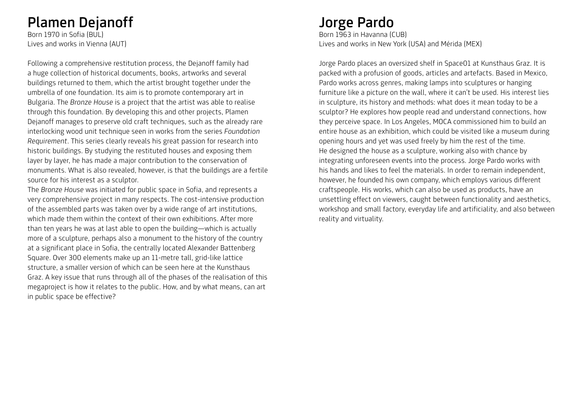#### Plamen Dejanoff

Born 1970 in Sofia (BUL) Lives and works in Vienna (AUT)

Following a comprehensive restitution process, the Dejanoff family had a huge collection of historical documents, books, artworks and several buildings returned to them, which the artist brought together under the umbrella of one foundation. Its aim is to promote contemporary art in Bulgaria. The *Bronze House* is a project that the artist was able to realise through this foundation. By developing this and other projects, Plamen Dejanoff manages to preserve old craft techniques, such as the already rare interlocking wood unit technique seen in works from the series *Foundation Requirement*. This series clearly reveals his great passion for research into historic buildings. By studying the restituted houses and exposing them layer by layer, he has made a major contribution to the conservation of monuments. What is also revealed, however, is that the buildings are a fertile source for his interest as a sculptor.

The *Bronze House* was initiated for public space in Sofia, and represents a very comprehensive project in many respects. The cost-intensive production of the assembled parts was taken over by a wide range of art institutions, which made them within the context of their own exhibitions. After more than ten years he was at last able to open the building—which is actually more of a sculpture, perhaps also a monument to the history of the country at a significant place in Sofia, the centrally located Alexander Battenberg Square. Over 300 elements make up an 11-metre tall, grid-like lattice structure, a smaller version of which can be seen here at the Kunsthaus Graz. A key issue that runs through all of the phases of the realisation of this megaproject is how it relates to the public. How, and by what means, can art in public space be effective?

#### Jorge Pardo

Born 1963 in Havanna (CUB) Lives and works in New York (USA) and Mérida (MEX)

Jorge Pardo places an oversized shelf in Space01 at Kunsthaus Graz. It is packed with a profusion of goods, articles and artefacts. Based in Mexico, Pardo works across genres, making lamps into sculptures or hanging furniture like a picture on the wall, where it can't be used. His interest lies in sculpture, its history and methods: what does it mean today to be a sculptor? He explores how people read and understand connections, how they perceive space. In Los Angeles, MOCA commissioned him to build an entire house as an exhibition, which could be visited like a museum during opening hours and yet was used freely by him the rest of the time. He designed the house as a sculpture, working also with chance by integrating unforeseen events into the process. Jorge Pardo works with his hands and likes to feel the materials. In order to remain independent, however, he founded his own company, which employs various different craftspeople. His works, which can also be used as products, have an unsettling effect on viewers, caught between functionality and aesthetics, workshop and small factory, everyday life and artificiality, and also between reality and virtuality.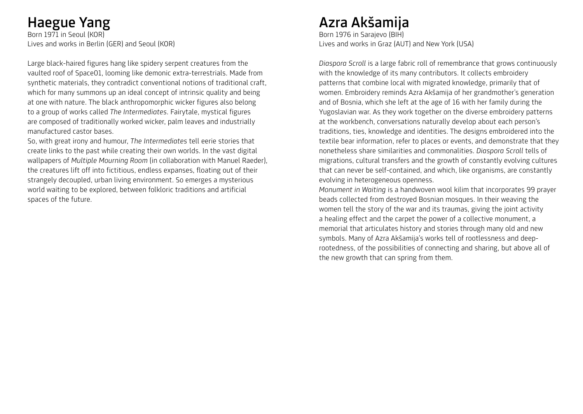### Haegue Yang

Born 1971 in Seoul (KOR) Lives and works in Berlin (GER) and Seoul (KOR)

Large black-haired figures hang like spidery serpent creatures from the vaulted roof of Space01, looming like demonic extra-terrestrials. Made from synthetic materials, they contradict conventional notions of traditional craft, which for many summons up an ideal concept of intrinsic quality and being at one with nature. The black anthropomorphic wicker figures also belong to a group of works called *The Intermediates*. Fairytale, mystical figures are composed of traditionally worked wicker, palm leaves and industrially manufactured castor bases.

So, with great irony and humour, *The Intermediates* tell eerie stories that create links to the past while creating their own worlds. In the vast digital wallpapers of *Multiple Mourning Room* (in collaboration with Manuel Raeder), the creatures lift off into fictitious, endless expanses, floating out of their strangely decoupled, urban living environment. So emerges a mysterious world waiting to be explored, between folkloric traditions and artificial spaces of the future.

## Azra Akšamija

Born 1976 in Sarajevo (BIH) Lives and works in Graz (AUT) and New York (USA)

*Diaspora Scroll* is a large fabric roll of remembrance that grows continuously with the knowledge of its many contributors. It collects embroidery patterns that combine local with migrated knowledge, primarily that of women. Embroidery reminds Azra Akšamija of her grandmother's generation and of Bosnia, which she left at the age of 16 with her family during the Yugoslavian war. As they work together on the diverse embroidery patterns at the workbench, conversations naturally develop about each person's traditions, ties, knowledge and identities. The designs embroidered into the textile bear information, refer to places or events, and demonstrate that they nonetheless share similarities and commonalities. *Diaspora Scroll* tells of migrations, cultural transfers and the growth of constantly evolving cultures that can never be self-contained, and which, like organisms, are constantly evolving in heterogeneous openness.

*Monument in Waiting* is a handwoven wool kilim that incorporates 99 prayer beads collected from destroyed Bosnian mosques. In their weaving the women tell the story of the war and its traumas, giving the joint activity a healing effect and the carpet the power of a collective monument, a memorial that articulates history and stories through many old and new symbols. Many of Azra Akšamija's works tell of rootlessness and deeprootedness, of the possibilities of connecting and sharing, but above all of the new growth that can spring from them.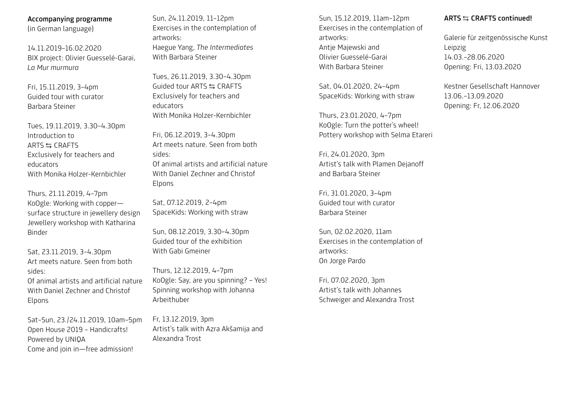#### Accompanying programme

(in German language)

14.11.2019–16.02.2020 BIX project: Olivier Guesselé-Garai, *La Mur murmura*

Fri, 15.11.2019, 3–4pm Guided tour with curator Barbara Steiner

Tues, 19.11.2019, 3.30–4.30pm Introduction to ARTS  $\leq$  CRAFTS Exclusively for teachers and educators With Monika Holzer-Kernbichler

Thurs, 21.11.2019, 4–7pm KoOgle: Working with copper surface structure in jewellery design Jewellery workshop with Katharina Binder

Sat, 23.11.2019, 3–4.30pm Art meets nature. Seen from both sides: Of animal artists and artificial nature With Daniel Zechner and Christof Elpons

Sat–Sun, 23./24.11.2019, 10am–5pm Open House 2019 – Handicrafts! Powered by UNIQA Come and join in—free admission!

Sun, 24.11.2019, 11–12pm Exercises in the contemplation of artworks: Haegue Yang, *The Intermediates* With Barbara Steiner

Tues, 26.11.2019, 3.30–4.30pm Guided tour ARTS ⇆ CRAFTS Exclusively for teachers and educators With Monika Holzer-Kernbichler

Fri, 06.12.2019, 3–4.30pm Art meets nature. Seen from both sides: Of animal artists and artificial nature With Daniel Zechner and Christof Elpons

Sat, 07.12.2019, 2–4pm SpaceKids: Working with straw

Sun, 08.12.2019, 3.30–4.30pm Guided tour of the exhibition With Gabi Gmeiner

Thurs, 12.12.2019, 4–7pm KoOgle: Say, are you spinning? – Yes! Spinning workshop with Johanna Arbeithuber

Fr, 13.12.2019, 3pm Artist's talk with Azra Akšamija and Alexandra Trost

Sun, 15.12.2019, 11am–12pm Exercises in the contemplation of artworks: Antje Majewski and Olivier Guesselé-Garai With Barbara Steiner

Sat, 04.01.2020, 24–4pm SpaceKids: Working with straw

Thurs, 23.01.2020, 4–7pm KoOgle: Turn the potter's wheel! Pottery workshop with Selma Etareri

Fri, 24.01.2020, 3pm Artist's talk with Plamen Dejanoff and Barbara Steiner

Fri, 31.01.2020, 3–4pm Guided tour with curator Barbara Steiner

Sun, 02.02.2020, 11am Exercises in the contemplation of artworks: On Jorge Pardo

Fri, 07.02.2020, 3pm Artist's talk with Johannes Schweiger and Alexandra Trost

#### ARTS  $\leq$  CRAFTS continued!

Galerie für zeitgenössische Kunst Leipzig 14.03.–28.06.2020 Opening: Fri, 13.03.2020

Kestner Gesellschaft Hannover 13.06.–13.09.2020 Opening: Fr, 12.06.2020